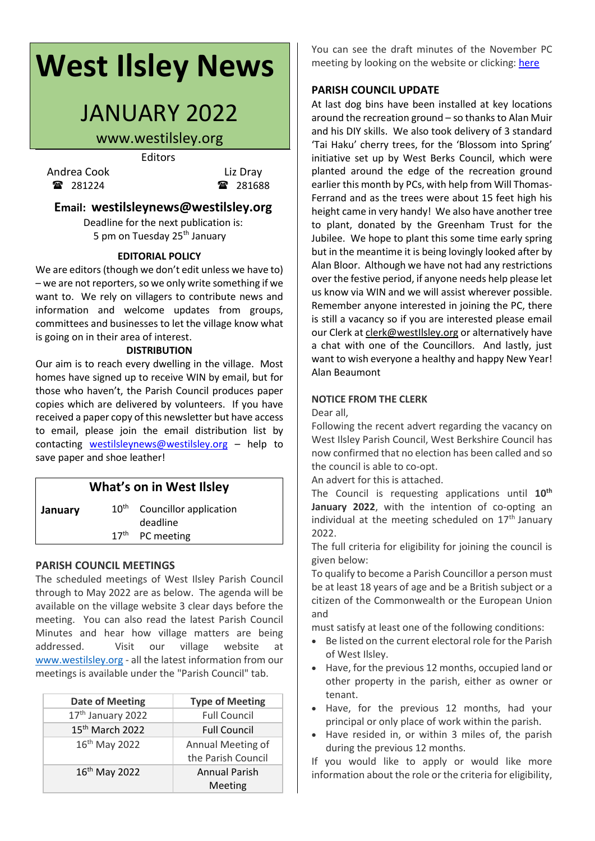# **West Ilsley News**

# JANUARY 2022

# www.westilsley.org

Editors

Andrea Cook Liz Dray 281224 281688

### **Email: westilsleynews@westilsley.org**

Deadline for the next publication is: 5 pm on Tuesday 25<sup>th</sup> January

#### **EDITORIAL POLICY**

We are editors (though we don't edit unless we have to)  $-$  we are not reporters, so we only write something if we want to. We rely on villagers to contribute news and information and welcome updates from groups, committees and businesses to let the village know what is going on in their area of interest.

#### **DISTRIBUTION**

Our aim is to reach every dwelling in the village. Most homes have signed up to receive WIN by email, but for those who haven't, the Parish Council produces paper copies which are delivered by volunteers. If you have received a paper copy of this newsletter but have access to email, please join the email distribution list by contacting [westilsleynews@westilsley.org](mailto:westilsleynews@westilsley.org) – help to save paper and shoe leather!

## **What's on in West Ilsley**

**January** 10<sup>th</sup> Councillor application deadline  $17<sup>th</sup>$  PC meeting

#### **PARISH COUNCIL MEETINGS**

The scheduled meetings of West Ilsley Parish Council through to May 2022 are as below. The agenda will be available on the village website 3 clear days before the meeting. You can also read the latest Parish Council Minutes and hear how village matters are being addressed. Visit our village website at [www.westilsley.org](https://emea01.safelinks.protection.outlook.com/?url=http%3A%2F%2Fwww.westilsley.org%2F&data=04%7C01%7C%7C68d5140e863344d0f7d508d9146e9847%7C84df9e7fe9f640afb435aaaaaaaaaaaa%7C1%7C0%7C637563287495181686%7CUnknown%7CTWFpbGZsb3d8eyJWIjoiMC4wLjAwMDAiLCJQIjoiV2luMzIiLCJBTiI6Ik1haWwiLCJXVCI6Mn0%3D%7C1000&sdata=2lx64LgF0%2F9MZCg5U2WhPVm1NSnIgt1c0aHmd9irJHE%3D&reserved=0) - all the latest information from our meetings is available under the "Parish Council" tab.

| <b>Date of Meeting</b>        | <b>Type of Meeting</b> |
|-------------------------------|------------------------|
| 17 <sup>th</sup> January 2022 | <b>Full Council</b>    |
| 15 <sup>th</sup> March 2022   | <b>Full Council</b>    |
| 16 <sup>th</sup> May 2022     | Annual Meeting of      |
|                               | the Parish Council     |
| 16 <sup>th</sup> May 2022     | <b>Annual Parish</b>   |
|                               | Meeting                |

You can see the draft minutes of the November PC meeting by looking on the website or clicking: [here](https://www.westilsley.org/shared/attachments.asp?f=14ef0160%2D53a2%2D43f2%2D9142%2D0a8bc9ba1305%2Epdf&o=2021%2D11%2D08%2DFull%2DCouncil%2DMinutes%2Epdf)

#### **PARISH COUNCIL UPDATE**

At last dog bins have been installed at key locations around the recreation ground – so thanks to Alan Muir and his DIY skills. We also took delivery of 3 standard 'Tai Haku' cherry trees, for the 'Blossom into Spring' initiative set up by West Berks Council, which were planted around the edge of the recreation ground earlier this month by PCs, with help from Will Thomas-Ferrand and as the trees were about 15 feet high his height came in very handy! We also have another tree to plant, donated by the Greenham Trust for the Jubilee. We hope to plant this some time early spring but in the meantime it is being lovingly looked after by Alan Bloor. Although we have not had any restrictions over the festive period, if anyone needs help please let us know via WIN and we will assist wherever possible. Remember anyone interested in joining the PC, there is still a vacancy so if you are interested please email our Clerk at [clerk@westIlsley.org](mailto:clerk@westIlsley.org) or alternatively have a chat with one of the Councillors. And lastly, just want to wish everyone a healthy and happy New Year! Alan Beaumont

#### **NOTICE FROM THE CLERK**

Dear all,

Following the recent advert regarding the vacancy on West Ilsley Parish Council, West Berkshire Council has now confirmed that no election has been called and so the council is able to co-opt.

An advert for this is attached.

The Council is requesting applications until **10th January 2022**, with the intention of co-opting an individual at the meeting scheduled on  $17<sup>th</sup>$  January 2022.

The full criteria for eligibility for joining the council is given below:

To qualify to become a Parish Councillor a person must be at least 18 years of age and be a British subject or a citizen of the Commonwealth or the European Union and

must satisfy at least one of the following conditions:

- Be listed on the current electoral role for the Parish of West Ilsley.
- Have, for the previous 12 months, occupied land or other property in the parish, either as owner or tenant.
- Have, for the previous 12 months, had your principal or only place of work within the parish.
- Have resided in, or within 3 miles of, the parish during the previous 12 months.

If you would like to apply or would like more information about the role or the criteria for eligibility,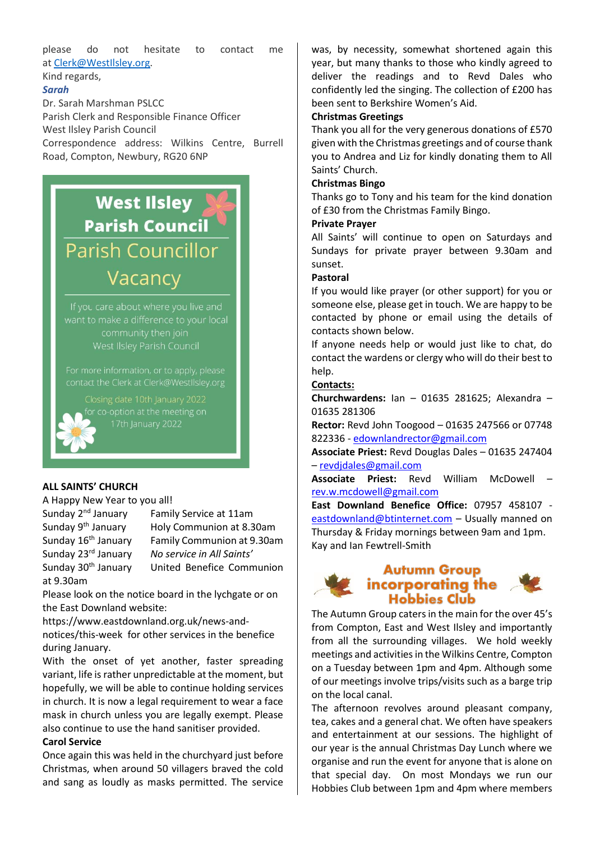please do not hesitate to contact me at [Clerk@WestIlsley.org.](mailto:Clerk@WestIlsley.org)

Kind regards,

#### *Sarah*

Dr. Sarah Marshman PSLCC

Parish Clerk and Responsible Finance Officer West Ilsley Parish Council Correspondence address: Wilkins Centre, Burrell Road, Compton, Newbury, RG20 6NP

# **West Ilsley Parish Council Parish Councillor** Vacancy

#### **ALL SAINTS' CHURCH**

A Happy New Year to you all!

at 9.30am

Sunday 2<sup>nd</sup> January Family Service at 11am Sunday 9th January Holy Communion at 8.30am Sunday 16th January Family Communion at 9.30am Sunday 23rd January *No service in All Saints'* Sunday 30th January United Benefice Communion

Please look on the notice board in the lychgate or on the East Downland website:

[https://www.eastdownland.org.uk/news-and](https://www.eastdownland.org.uk/news-and-notices/this-week)[notices/this-week](https://www.eastdownland.org.uk/news-and-notices/this-week) for other services in the benefice

during January. With the onset of yet another, faster spreading variant, life is rather unpredictable at the moment, but hopefully, we will be able to continue holding services in church. It is now a legal requirement to wear a face

mask in church unless you are legally exempt. Please also continue to use the hand sanitiser provided.

#### **Carol Service**

Once again this was held in the churchyard just before Christmas, when around 50 villagers braved the cold and sang as loudly as masks permitted. The service was, by necessity, somewhat shortened again this year, but many thanks to those who kindly agreed to deliver the readings and to Revd Dales who confidently led the singing. The collection of £200 has been sent to Berkshire Women's Aid.

#### **Christmas Greetings**

Thank you all for the very generous donations of £570 given with the Christmas greetings and of course thank you to Andrea and Liz for kindly donating them to All Saints' Church.

#### **Christmas Bingo**

Thanks go to Tony and his team for the kind donation of £30 from the Christmas Family Bingo.

#### **Private Prayer**

All Saints' will continue to open on Saturdays and Sundays for private prayer between 9.30am and sunset.

#### **Pastoral**

If you would like prayer (or other support) for you or someone else, please get in touch. We are happy to be contacted by phone or email using the details of contacts shown below.

If anyone needs help or would just like to chat, do contact the wardens or clergy who will do their best to help.

#### **Contacts:**

**Churchwardens:** Ian – 01635 281625; Alexandra – 01635 281306

**Rector:** Revd John Toogood – 01635 247566 or 07748 822336 - [edownlandrector@gmail.com](mailto:edownlandrector@gmail.com)

**Associate Priest:** Revd Douglas Dales – 01635 247404 – [revdjdales@gmail.com](mailto:revdjdales@gmail.com)

**Associate Priest:** Revd William McDowell – [rev.w.mcdowell@gmail.com](mailto:rev.w.mcdowell@gmail.com)

**East Downland Benefice Office:** 07957 458107 [eastdownland@btinternet.com](mailto:eastdownland@btinternet.com) - Usually manned on Thursday & Friday mornings between 9am and 1pm. Kay and Ian Fewtrell-Smith



### **Autumn Group** incorporating the **Hobbies Club**

The Autumn Group caters in the main for the over 45's from Compton, East and West Ilsley and importantly from all the surrounding villages. We hold weekly meetings and activities in the Wilkins Centre, Compton on a Tuesday between 1pm and 4pm. Although some of our meetings involve trips/visits such as a barge trip on the local canal.

The afternoon revolves around pleasant company, tea, cakes and a general chat. We often have speakers and entertainment at our sessions. The highlight of our year is the annual Christmas Day Lunch where we organise and run the event for anyone that is alone on that special day. On most Mondays we run our Hobbies Club between 1pm and 4pm where members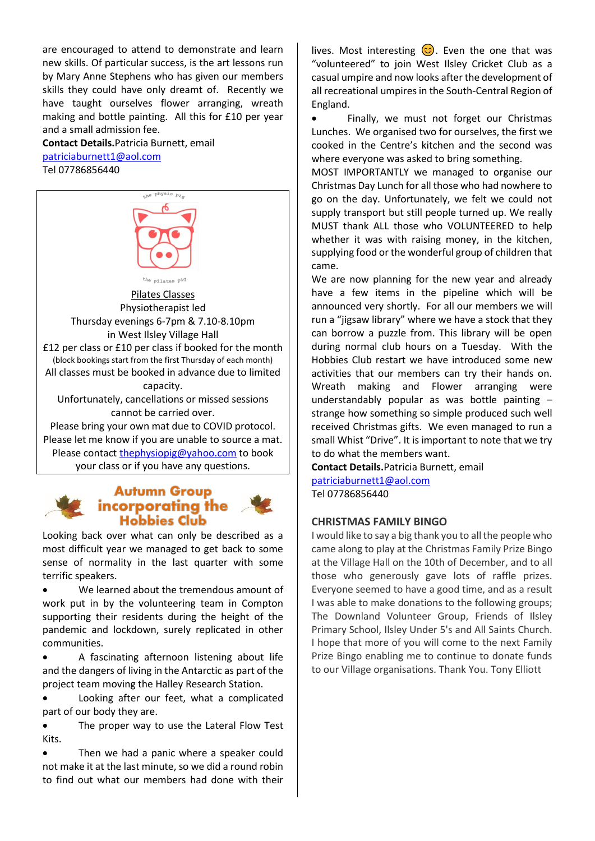are encouraged to attend to demonstrate and learn new skills. Of particular success, is the art lessons run by Mary Anne Stephens who has given our members skills they could have only dreamt of. Recently we have taught ourselves flower arranging, wreath making and bottle painting. All this for £10 per year and a small admission fee.

**Contact Details.**Patricia Burnett, email [patriciaburnett1@aol.com](mailto:patriciaburnett1@aol.com) 

Tel 07786856440



your class or if you have any questions.

# **Autumn Group**<br>**incorporating the Hobbies Club**

Looking back over what can only be described as a most difficult year we managed to get back to some sense of normality in the last quarter with some terrific speakers.

• We learned about the tremendous amount of work put in by the volunteering team in Compton supporting their residents during the height of the pandemic and lockdown, surely replicated in other communities.

• A fascinating afternoon listening about life and the dangers of living in the Antarctic as part of the project team moving the Halley Research Station.

• Looking after our feet, what a complicated part of our body they are.

• The proper way to use the Lateral Flow Test Kits.

• Then we had a panic where a speaker could not make it at the last minute, so we did a round robin to find out what our members had done with their lives. Most interesting  $\odot$ . Even the one that was "volunteered" to join West Ilsley Cricket Club as a casual umpire and now looks after the development of all recreational umpires in the South-Central Region of England.

• Finally, we must not forget our Christmas Lunches. We organised two for ourselves, the first we cooked in the Centre's kitchen and the second was where everyone was asked to bring something.

MOST IMPORTANTLY we managed to organise our Christmas Day Lunch for all those who had nowhere to go on the day. Unfortunately, we felt we could not supply transport but still people turned up. We really MUST thank ALL those who VOLUNTEERED to help whether it was with raising money, in the kitchen, supplying food or the wonderful group of children that came.

We are now planning for the new year and already have a few items in the pipeline which will be announced very shortly. For all our members we will run a "jigsaw library" where we have a stock that they can borrow a puzzle from. This library will be open during normal club hours on a Tuesday. With the Hobbies Club restart we have introduced some new activities that our members can try their hands on. Wreath making and Flower arranging were understandably popular as was bottle painting – strange how something so simple produced such well received Christmas gifts. We even managed to run a small Whist "Drive". It is important to note that we try to do what the members want.

**Contact Details.**Patricia Burnett, email [patriciaburnett1@aol.com](mailto:patriciaburnett1@aol.com) 

Tel 07786856440

### **CHRISTMAS FAMILY BINGO**

I would like to say a big thank you to all the people who came along to play at the Christmas Family Prize Bingo at the Village Hall on the 10th of December, and to all those who generously gave lots of raffle prizes. Everyone seemed to have a good time, and as a result I was able to make donations to the following groups; The Downland Volunteer Group, Friends of Ilsley Primary School, Ilsley Under 5's and All Saints Church. I hope that more of you will come to the next Family Prize Bingo enabling me to continue to donate funds to our Village organisations. Thank You. Tony Elliott